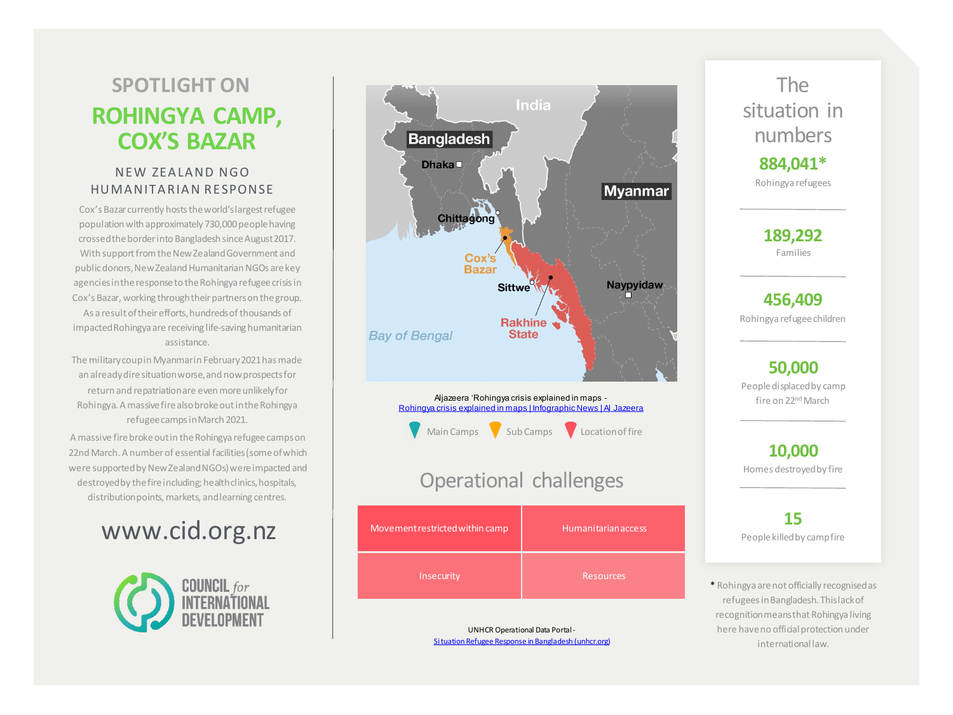# **ROHINGYA CAMP, COX'S BAZAR SPOTLIGHT ON**

#### NEW ZEALAND NGO HUMA NITA RIA N RESPONSE

Cox's Bazar currently hosts the world's largest refugee population with approximately 730,000 people having crossed the border into Bangladesh since August 2017. With support from the New Zealand Government and public donors, New Zealand Humanitarian NGOs are key agencies in the response to the Rohingya refugee crisis in Cox's Bazar, working through their partners on the group. As a result of their efforts, hundreds of thousands of impacted Rohingya are receiving life-saving humanitarian assistance.

The military coup in Myanmar in February 2021 has made an already dire situation worse, and now prospects for return and repatriation are even more unlikely for Rohingya. A massive fire also broke out in the Rohingya refugee camps in March 2021.

A massive fire broke out in the Rohingya refugee camps on 22nd March. A number of essential facilities (some of which were supported by New Zealand NGOs) were impacted and destroyed by the fire including; health clinics, hospitals, distribution points, markets, and learning centres.

# www.cid.org.nz





Aljazeera 'Rohingya crisis explained in maps - [Rohingya crisis explained in maps | Infographic News | Al Jazeera](https://apc01.safelinks.protection.outlook.com/?url=https%3A%2F%2Fwww.aljazeera.com%2Fnews%2F2017%2F10%2F28%2Frohingya-crisis-explained-in-maps&data=04%7C01%7Cmatt%40hothouse.co.nz%7C4e005d79418e4a8d977a08d9516b392d%7C94a0f8d7648b424c86147b6a1ada8848%7C1%7C0%7C637630343280092791%7CUnknown%7CTWFpbGZsb3d8eyJWIjoiMC4wLjAwMDAiLCJQIjoiV2luMzIiLCJBTiI6Ik1haWwiLCJXVCI6Mn0%3D%7C1000&sdata=ugYKw%2FUZym9lpuYMy4eC9zF1ovBMLsHhtG2OCRF0gGw%3D&reserved=0)



### Operational challenges

| Movement restricted within camp | <b>Humanitarian access</b> |
|---------------------------------|----------------------------|
| Insecurity                      | <b>Resources</b>           |

UNHCR Operational Data Portal - [Situation Refugee Response in Bangladesh \(unhcr.org\)](https://apc01.safelinks.protection.outlook.com/?url=https%3A%2F%2Fdata2.unhcr.org%2Fen%2Fsituations%2Fmyanmar_refugees&data=04%7C01%7Cmatt%40hothouse.co.nz%7C85c80e670d8944379b7808d9402cddd2%7C94a0f8d7648b424c86147b6a1ada8848%7C1%7C0%7C637611384698293792%7CUnknown%7CTWFpbGZsb3d8eyJWIjoiMC4wLjAwMDAiLCJQIjoiV2luMzIiLCJBTiI6Ik1haWwiLCJXVCI6Mn0%3D%7C1000&sdata=sGa%2B8d1yScJXeLl1XjuKCC9sH%2BjqUhG1Lnv4J2afGVk%3D&reserved=0)



**189,292** Families

**456,409**  Rohingya refugee children

**50,000** People displaced by camp fire on 22<sup>nd</sup> March

**10,000** Homes destroyed by fire

**15**  People killed by camp fire

\* Rohingya are not officially recognised as refugees in Bangladesh. This lack of recognition means that Rohingya living here have no official protection under international law.